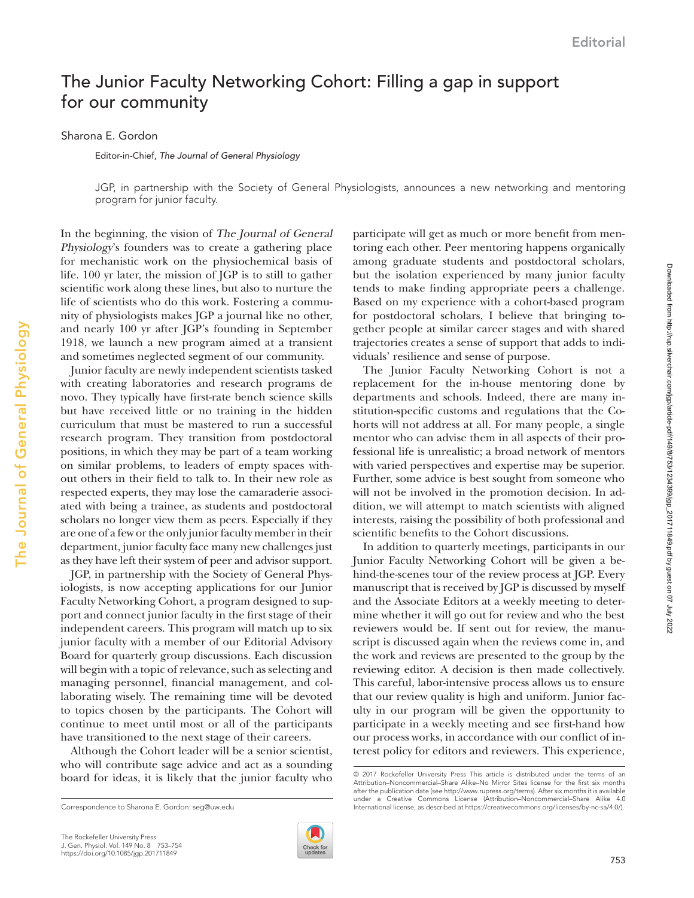## The Junior Faculty Networking Cohort: Filling a gap in support for our community

Sharona E. Gordon

The Journal of General Physiology

The Journal of General Physiology

Editor-in-Chief, *The Journal of General Physiology*

JGP, in partnership with the Society of General Physiologists, announces a new networking and mentoring program for junior faculty.

In the beginning, the vision of The Journal of General Physiology's founders was to create a gathering place for mechanistic work on the physiochemical basis of life. 100 yr later, the mission of JGP is to still to gather scientific work along these lines, but also to nurture the life of scientists who do this work. Fostering a community of physiologists makes JGP a journal like no other, and nearly 100 yr after JGP's founding in September 1918, we launch a new program aimed at a transient and sometimes neglected segment of our community.

Junior faculty are newly independent scientists tasked with creating laboratories and research programs de novo. They typically have first-rate bench science skills but have received little or no training in the hidden curriculum that must be mastered to run a successful research program. They transition from postdoctoral positions, in which they may be part of a team working on similar problems, to leaders of empty spaces without others in their field to talk to. In their new role as respected experts, they may lose the camaraderie associated with being a trainee, as students and postdoctoral scholars no longer view them as peers. Especially if they are one of a few or the only junior faculty member in their department, junior faculty face many new challenges just as they have left their system of peer and advisor support.

JGP, in partnership with the Society of General Physiologists, is now accepting applications for our [Junior](http://jgp.rupress.org/content/junior-faculty-networking-cohort) [Faculty Networking Cohort,](http://jgp.rupress.org/content/junior-faculty-networking-cohort) a program designed to support and connect junior faculty in the first stage of their independent careers. This program will match up to six junior faculty with a member of our Editorial Advisory Board for quarterly group discussions. Each discussion will begin with a topic of relevance, such as selecting and managing personnel, financial management, and collaborating wisely. The remaining time will be devoted to topics chosen by the participants. The Cohort will continue to meet until most or all of the participants have transitioned to the next stage of their careers.

Although the Cohort leader will be a senior scientist, who will contribute sage advice and act as a sounding board for ideas, it is likely that the junior faculty who



participate will get as much or more benefit from mentoring each other. Peer mentoring happens organically among graduate students and postdoctoral scholars, but the isolation experienced by many junior faculty tends to make finding appropriate peers a challenge. Based on my experience with a cohort-based program for postdoctoral scholars, I believe that bringing together people at similar career stages and with shared trajectories creates a sense of support that adds to individuals' resilience and sense of purpose.

The Junior Faculty Networking Cohort is not a replacement for the in-house mentoring done by departments and schools. Indeed, there are many institution-specific customs and regulations that the Cohorts will not address at all. For many people, a single mentor who can advise them in all aspects of their professional life is unrealistic; a broad network of mentors with varied perspectives and expertise may be superior. Further, some advice is best sought from someone who will not be involved in the promotion decision. In addition, we will attempt to match scientists with aligned interests, raising the possibility of both professional and scientific benefits to the Cohort discussions.

In addition to quarterly meetings, participants in our Junior Faculty Networking Cohort will be given a behind-the-scenes tour of the review process at JGP. Every manuscript that is received by JGP is discussed by myself and the Associate Editors at a weekly meeting to determine whether it will go out for review and who the best reviewers would be. If sent out for review, the manuscript is discussed again when the reviews come in, and the work and reviews are presented to the group by the reviewing editor. A decision is then made collectively. This careful, labor-intensive process allows us to ensure that our review quality is high and uniform. Junior faculty in our program will be given the opportunity to participate in a weekly meeting and see first-hand how our process works, in accordance with our conflict of interest policy for editors and reviewers. This experience,

<sup>© 2017</sup> Rockefeller University Press This article is distributed under the terms of an Attribution–Noncommercial–Share Alike–No Mirror Sites license for the first six months after the publication date (see [http://www.rupress.org/terms\)](http://www.rupress.org/terms/). After six months it is available under a Creative Commons License (Attribution–Noncommercial–Share Alike 4.0 Correspondence to Sharona E. Gordon: [seg@uw.edu](mailto:) **International license**, as described at <https://creativecommons.org/licenses/by-nc-sa/4.0/>).